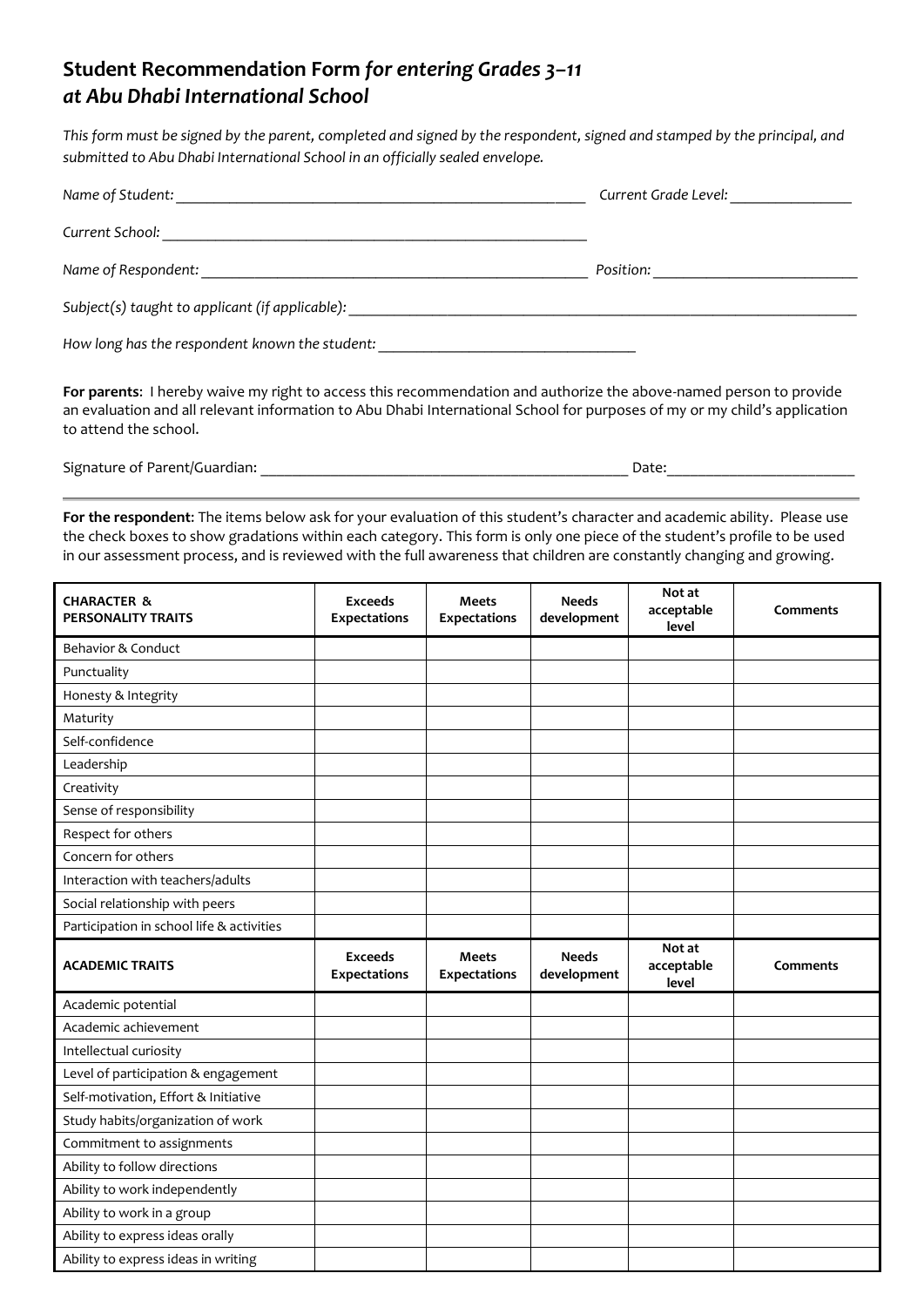## **Student Recommendation Form** *for entering Grades 3–11 at Abu Dhabi International School*

*This form must be signed by the parent, completed and signed by the respondent, signed and stamped by the principal, and submitted to Abu Dhabi International School in an officially sealed envelope.* 

| Name of Student:                                | Current Grade Level: |
|-------------------------------------------------|----------------------|
| Current School:                                 |                      |
| Name of Respondent:                             | Position:            |
| Subject(s) taught to applicant (if applicable): |                      |
| How long has the respondent known the student:  |                      |

**For parents**:I hereby waive my right to access this recommendation and authorize the above-named person to provide an evaluation and all relevant information to Abu Dhabi International School for purposes of my or my child's application to attend the school.

Signature of Parent/Guardian: \_\_\_\_\_\_\_\_\_\_\_\_\_\_\_\_\_\_\_\_\_\_\_\_\_\_\_\_\_\_\_\_\_\_\_\_\_\_\_\_\_\_\_\_\_\_\_ Date:\_\_\_\_\_\_\_\_\_\_\_\_\_\_\_\_\_\_\_\_\_\_\_\_

**For the respondent**: The items below ask for your evaluation of this student's character and academic ability. Please use the check boxes to show gradations within each category. This form is only one piece of the student's profile to be used in our assessment process, and is reviewed with the full awareness that children are constantly changing and growing.

| <b>CHARACTER &amp;</b><br>PERSONALITY TRAITS | <b>Exceeds</b><br><b>Expectations</b> | <b>Meets</b><br><b>Expectations</b> | <b>Needs</b><br>development | Not at<br>acceptable<br>level | <b>Comments</b> |
|----------------------------------------------|---------------------------------------|-------------------------------------|-----------------------------|-------------------------------|-----------------|
| Behavior & Conduct                           |                                       |                                     |                             |                               |                 |
| Punctuality                                  |                                       |                                     |                             |                               |                 |
| Honesty & Integrity                          |                                       |                                     |                             |                               |                 |
| Maturity                                     |                                       |                                     |                             |                               |                 |
| Self-confidence                              |                                       |                                     |                             |                               |                 |
| Leadership                                   |                                       |                                     |                             |                               |                 |
| Creativity                                   |                                       |                                     |                             |                               |                 |
| Sense of responsibility                      |                                       |                                     |                             |                               |                 |
| Respect for others                           |                                       |                                     |                             |                               |                 |
| Concern for others                           |                                       |                                     |                             |                               |                 |
| Interaction with teachers/adults             |                                       |                                     |                             |                               |                 |
| Social relationship with peers               |                                       |                                     |                             |                               |                 |
| Participation in school life & activities    |                                       |                                     |                             |                               |                 |
| <b>ACADEMIC TRAITS</b>                       | <b>Exceeds</b><br>Expectations        | <b>Meets</b><br><b>Expectations</b> | <b>Needs</b><br>development | Not at<br>acceptable<br>level | Comments        |
| Academic potential                           |                                       |                                     |                             |                               |                 |
| Academic achievement                         |                                       |                                     |                             |                               |                 |
| Intellectual curiosity                       |                                       |                                     |                             |                               |                 |
| Level of participation & engagement          |                                       |                                     |                             |                               |                 |
| Self-motivation, Effort & Initiative         |                                       |                                     |                             |                               |                 |
| Study habits/organization of work            |                                       |                                     |                             |                               |                 |
| Commitment to assignments                    |                                       |                                     |                             |                               |                 |
| Ability to follow directions                 |                                       |                                     |                             |                               |                 |
| Ability to work independently                |                                       |                                     |                             |                               |                 |
| Ability to work in a group                   |                                       |                                     |                             |                               |                 |
| Ability to express ideas orally              |                                       |                                     |                             |                               |                 |
| Ability to express ideas in writing          |                                       |                                     |                             |                               |                 |